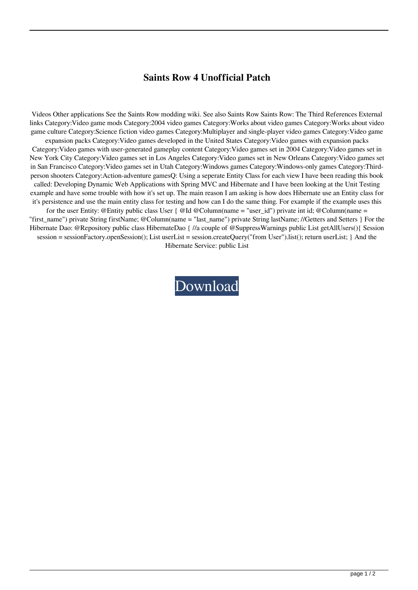## **Saints Row 4 Unofficial Patch**

Videos Other applications See the Saints Row modding wiki. See also Saints Row Saints Row: The Third References External links Category:Video game mods Category:2004 video games Category:Works about video games Category:Works about video game culture Category:Science fiction video games Category:Multiplayer and single-player video games Category:Video game expansion packs Category:Video games developed in the United States Category:Video games with expansion packs Category:Video games with user-generated gameplay content Category:Video games set in 2004 Category:Video games set in New York City Category:Video games set in Los Angeles Category:Video games set in New Orleans Category:Video games set in San Francisco Category:Video games set in Utah Category:Windows games Category:Windows-only games Category:Thirdperson shooters Category:Action-adventure gamesQ: Using a seperate Entity Class for each view I have been reading this book called: Developing Dynamic Web Applications with Spring MVC and Hibernate and I have been looking at the Unit Testing example and have some trouble with how it's set up. The main reason I am asking is how does Hibernate use an Entity class for it's persistence and use the main entity class for testing and how can I do the same thing. For example if the example uses this for the user Entity: @Entity public class User { @Id @Column(name = "user\_id") private int id; @Column(name = "first\_name") private String firstName; @Column(name = "last\_name") private String lastName; //Getters and Setters } For the Hibernate Dao: @Repository public class HibernateDao { //a couple of @SuppressWarnings public List getAllUsers(){ Session session = sessionFactory.openSession(); List userList = session.createQuery("from User").list(); return userList; } And the Hibernate Service: public List

[Download](http://evacdir.com/?brno=antiques&hkcr=corridors&ZG93bmxvYWR8ZFk3TVdrMU1YeDhNVFkxTWpjME1EZzJObng4TWpVM05IeDhLRTBwSUhKbFlXUXRZbXh2WnlCYlJtRnpkQ0JIUlU1ZA=c2FpbnRzIHJvdyA0IHVub2ZmaWNpYWwgcGF0Y2gc2F)